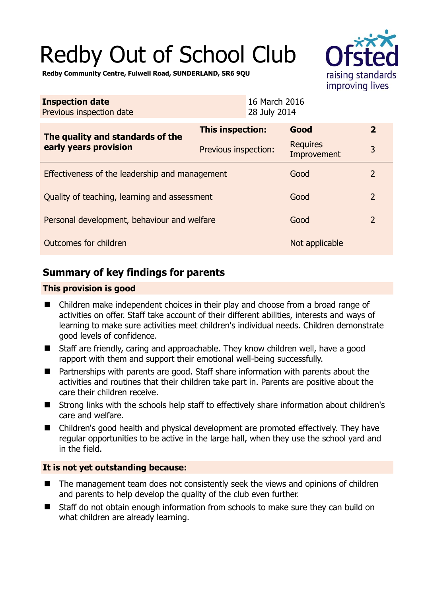# Redby Out of School Club



**Redby Community Centre, Fulwell Road, SUNDERLAND, SR6 9QU** 

| <b>Inspection date</b><br>Previous inspection date        | 16 March 2016<br>28 July 2014 |  |                         |                |
|-----------------------------------------------------------|-------------------------------|--|-------------------------|----------------|
| The quality and standards of the<br>early years provision | This inspection:              |  | Good                    | $\mathbf{2}$   |
|                                                           | Previous inspection:          |  | Requires<br>Improvement | 3              |
| Effectiveness of the leadership and management            |                               |  | Good                    | $\overline{2}$ |
| Quality of teaching, learning and assessment              |                               |  | Good                    | $\overline{2}$ |
| Personal development, behaviour and welfare               |                               |  | Good                    | $\overline{2}$ |
| Outcomes for children                                     |                               |  | Not applicable          |                |

# **Summary of key findings for parents**

## **This provision is good**

- Children make independent choices in their play and choose from a broad range of activities on offer. Staff take account of their different abilities, interests and ways of learning to make sure activities meet children's individual needs. Children demonstrate good levels of confidence.
- Staff are friendly, caring and approachable. They know children well, have a good rapport with them and support their emotional well-being successfully.
- Partnerships with parents are good. Staff share information with parents about the activities and routines that their children take part in. Parents are positive about the care their children receive.
- Strong links with the schools help staff to effectively share information about children's care and welfare.
- Children's good health and physical development are promoted effectively. They have regular opportunities to be active in the large hall, when they use the school yard and in the field.

## **It is not yet outstanding because:**

- The management team does not consistently seek the views and opinions of children and parents to help develop the quality of the club even further.
- Staff do not obtain enough information from schools to make sure they can build on what children are already learning.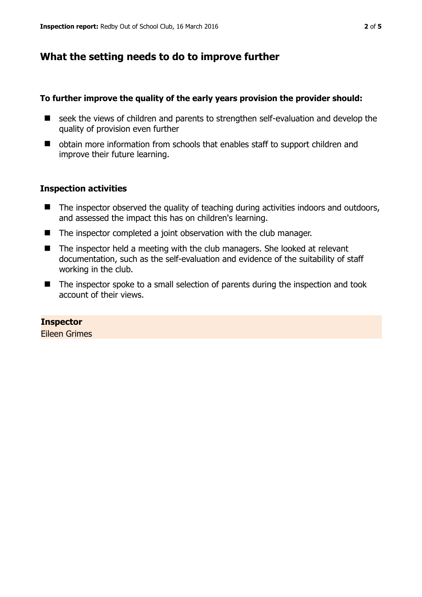# **What the setting needs to do to improve further**

## **To further improve the quality of the early years provision the provider should:**

- seek the views of children and parents to strengthen self-evaluation and develop the quality of provision even further
- obtain more information from schools that enables staff to support children and improve their future learning.

## **Inspection activities**

- The inspector observed the quality of teaching during activities indoors and outdoors, and assessed the impact this has on children's learning.
- The inspector completed a joint observation with the club manager.
- The inspector held a meeting with the club managers. She looked at relevant documentation, such as the self-evaluation and evidence of the suitability of staff working in the club.
- The inspector spoke to a small selection of parents during the inspection and took account of their views.

# **Inspector**

Eileen Grimes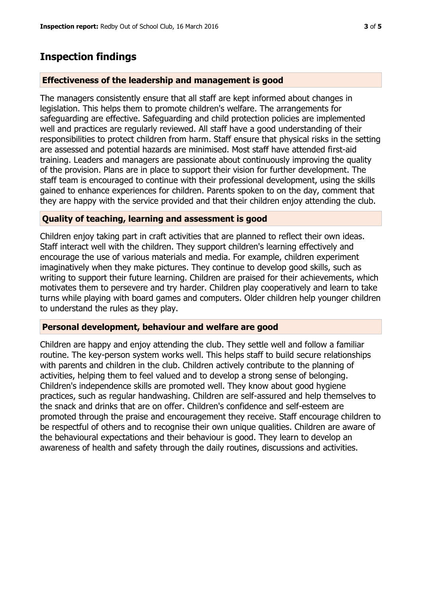## **Inspection findings**

#### **Effectiveness of the leadership and management is good**

The managers consistently ensure that all staff are kept informed about changes in legislation. This helps them to promote children's welfare. The arrangements for safeguarding are effective. Safeguarding and child protection policies are implemented well and practices are regularly reviewed. All staff have a good understanding of their responsibilities to protect children from harm. Staff ensure that physical risks in the setting are assessed and potential hazards are minimised. Most staff have attended first-aid training. Leaders and managers are passionate about continuously improving the quality of the provision. Plans are in place to support their vision for further development. The staff team is encouraged to continue with their professional development, using the skills gained to enhance experiences for children. Parents spoken to on the day, comment that they are happy with the service provided and that their children enjoy attending the club.

### **Quality of teaching, learning and assessment is good**

Children enjoy taking part in craft activities that are planned to reflect their own ideas. Staff interact well with the children. They support children's learning effectively and encourage the use of various materials and media. For example, children experiment imaginatively when they make pictures. They continue to develop good skills, such as writing to support their future learning. Children are praised for their achievements, which motivates them to persevere and try harder. Children play cooperatively and learn to take turns while playing with board games and computers. Older children help younger children to understand the rules as they play.

#### **Personal development, behaviour and welfare are good**

Children are happy and enjoy attending the club. They settle well and follow a familiar routine. The key-person system works well. This helps staff to build secure relationships with parents and children in the club. Children actively contribute to the planning of activities, helping them to feel valued and to develop a strong sense of belonging. Children's independence skills are promoted well. They know about good hygiene practices, such as regular handwashing. Children are self-assured and help themselves to the snack and drinks that are on offer. Children's confidence and self-esteem are promoted through the praise and encouragement they receive. Staff encourage children to be respectful of others and to recognise their own unique qualities. Children are aware of the behavioural expectations and their behaviour is good. They learn to develop an awareness of health and safety through the daily routines, discussions and activities.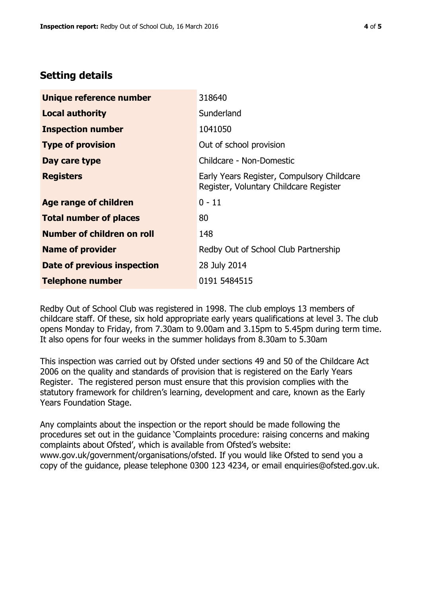# **Setting details**

| Unique reference number       | 318640                                                                               |  |
|-------------------------------|--------------------------------------------------------------------------------------|--|
| <b>Local authority</b>        | Sunderland                                                                           |  |
| <b>Inspection number</b>      | 1041050                                                                              |  |
| <b>Type of provision</b>      | Out of school provision                                                              |  |
| Day care type                 | Childcare - Non-Domestic                                                             |  |
| <b>Registers</b>              | Early Years Register, Compulsory Childcare<br>Register, Voluntary Childcare Register |  |
| <b>Age range of children</b>  | $0 - 11$                                                                             |  |
| <b>Total number of places</b> | 80                                                                                   |  |
| Number of children on roll    | 148                                                                                  |  |
| <b>Name of provider</b>       | Redby Out of School Club Partnership                                                 |  |
| Date of previous inspection   | 28 July 2014                                                                         |  |
| <b>Telephone number</b>       | 0191 5484515                                                                         |  |

Redby Out of School Club was registered in 1998. The club employs 13 members of childcare staff. Of these, six hold appropriate early years qualifications at level 3. The club opens Monday to Friday, from 7.30am to 9.00am and 3.15pm to 5.45pm during term time. It also opens for four weeks in the summer holidays from 8.30am to 5.30am

This inspection was carried out by Ofsted under sections 49 and 50 of the Childcare Act 2006 on the quality and standards of provision that is registered on the Early Years Register. The registered person must ensure that this provision complies with the statutory framework for children's learning, development and care, known as the Early Years Foundation Stage.

Any complaints about the inspection or the report should be made following the procedures set out in the guidance 'Complaints procedure: raising concerns and making complaints about Ofsted', which is available from Ofsted's website: www.gov.uk/government/organisations/ofsted. If you would like Ofsted to send you a copy of the guidance, please telephone 0300 123 4234, or email enquiries@ofsted.gov.uk.